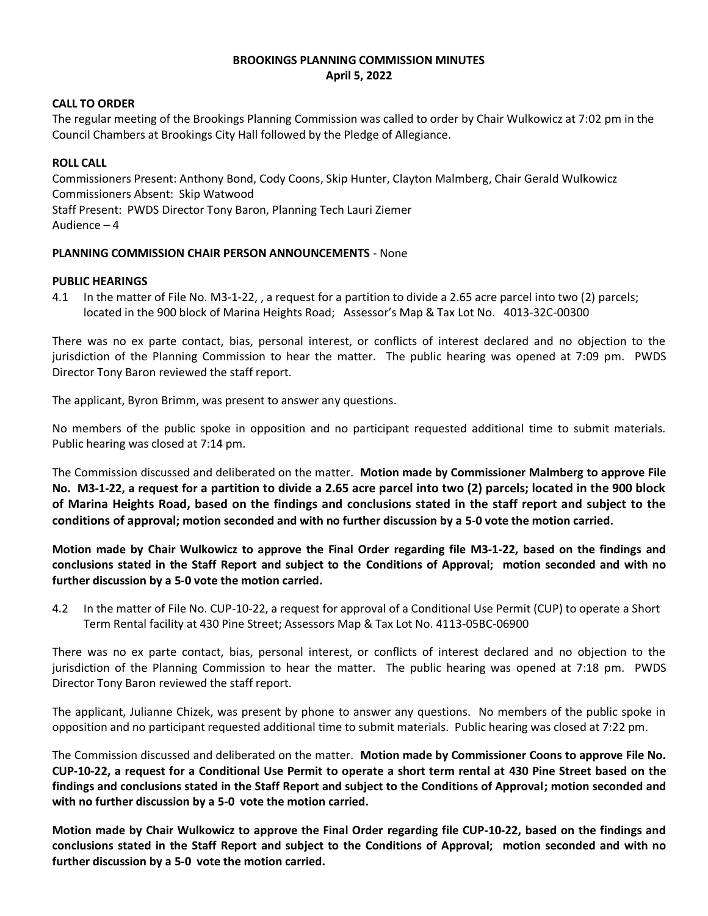# **BROOKINGS PLANNING COMMISSION MINUTES April 5, 2022**

### **CALL TO ORDER**

The regular meeting of the Brookings Planning Commission was called to order by Chair Wulkowicz at 7:02 pm in the Council Chambers at Brookings City Hall followed by the Pledge of Allegiance.

## **ROLL CALL**

Commissioners Present: Anthony Bond, Cody Coons, Skip Hunter, Clayton Malmberg, Chair Gerald Wulkowicz Commissioners Absent: Skip Watwood Staff Present: PWDS Director Tony Baron, Planning Tech Lauri Ziemer Audience – 4

#### **PLANNING COMMISSION CHAIR PERSON ANNOUNCEMENTS** - None

#### **PUBLIC HEARINGS**

4.1 In the matter of File No. M3-1-22, , a request for a partition to divide a 2.65 acre parcel into two (2) parcels; located in the 900 block of Marina Heights Road; Assessor's Map & Tax Lot No. 4013-32C-00300

There was no ex parte contact, bias, personal interest, or conflicts of interest declared and no objection to the jurisdiction of the Planning Commission to hear the matter. The public hearing was opened at 7:09 pm. PWDS Director Tony Baron reviewed the staff report.

The applicant, Byron Brimm, was present to answer any questions.

No members of the public spoke in opposition and no participant requested additional time to submit materials. Public hearing was closed at 7:14 pm.

The Commission discussed and deliberated on the matter. **Motion made by Commissioner Malmberg to approve File No. M3-1-22, a request for a partition to divide a 2.65 acre parcel into two (2) parcels; located in the 900 block of Marina Heights Road, based on the findings and conclusions stated in the staff report and subject to the conditions of approval; motion seconded and with no further discussion by a 5-0 vote the motion carried.**

**Motion made by Chair Wulkowicz to approve the Final Order regarding file M3-1-22, based on the findings and conclusions stated in the Staff Report and subject to the Conditions of Approval; motion seconded and with no further discussion by a 5-0 vote the motion carried.**

4.2 In the matter of File No. CUP-10-22, a request for approval of a Conditional Use Permit (CUP) to operate a Short Term Rental facility at 430 Pine Street; Assessors Map & Tax Lot No. 4113-05BC-06900

There was no ex parte contact, bias, personal interest, or conflicts of interest declared and no objection to the jurisdiction of the Planning Commission to hear the matter. The public hearing was opened at 7:18 pm. PWDS Director Tony Baron reviewed the staff report.

The applicant, Julianne Chizek, was present by phone to answer any questions. No members of the public spoke in opposition and no participant requested additional time to submit materials. Public hearing was closed at 7:22 pm.

The Commission discussed and deliberated on the matter. **Motion made by Commissioner Coons to approve File No. CUP-10-22, a request for a Conditional Use Permit to operate a short term rental at 430 Pine Street based on the findings and conclusions stated in the Staff Report and subject to the Conditions of Approval; motion seconded and with no further discussion by a 5-0 vote the motion carried.**

**Motion made by Chair Wulkowicz to approve the Final Order regarding file CUP-10-22, based on the findings and conclusions stated in the Staff Report and subject to the Conditions of Approval; motion seconded and with no further discussion by a 5-0 vote the motion carried.**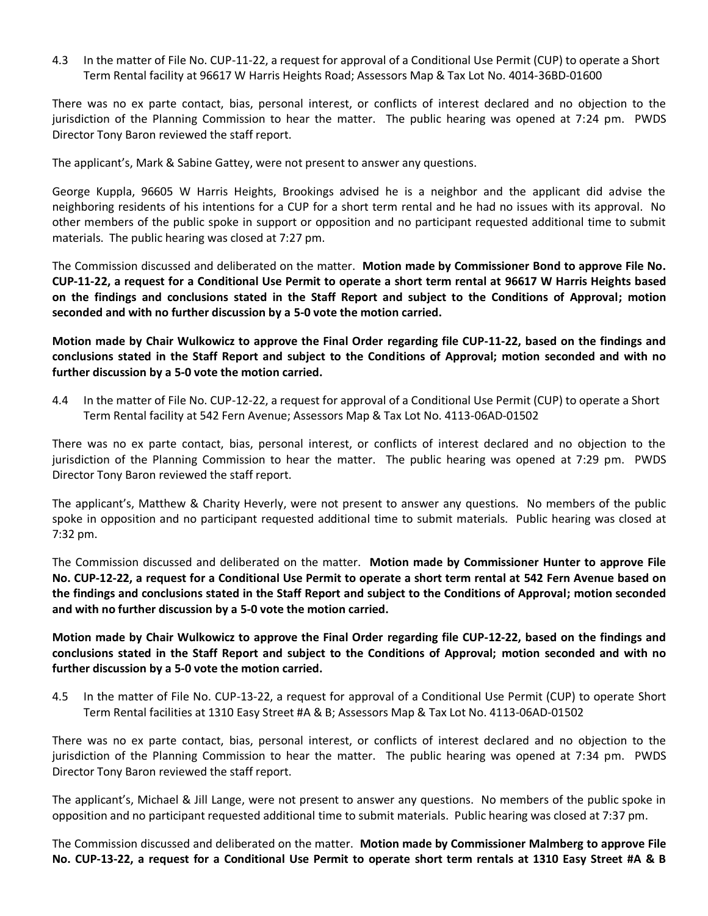4.3 In the matter of File No. CUP-11-22, a request for approval of a Conditional Use Permit (CUP) to operate a Short Term Rental facility at 96617 W Harris Heights Road; Assessors Map & Tax Lot No. 4014-36BD-01600

There was no ex parte contact, bias, personal interest, or conflicts of interest declared and no objection to the jurisdiction of the Planning Commission to hear the matter. The public hearing was opened at 7:24 pm. PWDS Director Tony Baron reviewed the staff report.

The applicant's, Mark & Sabine Gattey, were not present to answer any questions.

George Kuppla, 96605 W Harris Heights, Brookings advised he is a neighbor and the applicant did advise the neighboring residents of his intentions for a CUP for a short term rental and he had no issues with its approval. No other members of the public spoke in support or opposition and no participant requested additional time to submit materials. The public hearing was closed at 7:27 pm.

The Commission discussed and deliberated on the matter. **Motion made by Commissioner Bond to approve File No. CUP-11-22, a request for a Conditional Use Permit to operate a short term rental at 96617 W Harris Heights based on the findings and conclusions stated in the Staff Report and subject to the Conditions of Approval; motion seconded and with no further discussion by a 5-0 vote the motion carried.**

**Motion made by Chair Wulkowicz to approve the Final Order regarding file CUP-11-22, based on the findings and conclusions stated in the Staff Report and subject to the Conditions of Approval; motion seconded and with no further discussion by a 5-0 vote the motion carried.**

4.4 In the matter of File No. CUP-12-22, a request for approval of a Conditional Use Permit (CUP) to operate a Short Term Rental facility at 542 Fern Avenue; Assessors Map & Tax Lot No. 4113-06AD-01502

There was no ex parte contact, bias, personal interest, or conflicts of interest declared and no objection to the jurisdiction of the Planning Commission to hear the matter. The public hearing was opened at 7:29 pm. PWDS Director Tony Baron reviewed the staff report.

The applicant's, Matthew & Charity Heverly, were not present to answer any questions. No members of the public spoke in opposition and no participant requested additional time to submit materials. Public hearing was closed at 7:32 pm.

The Commission discussed and deliberated on the matter. **Motion made by Commissioner Hunter to approve File No. CUP-12-22, a request for a Conditional Use Permit to operate a short term rental at 542 Fern Avenue based on the findings and conclusions stated in the Staff Report and subject to the Conditions of Approval; motion seconded and with no further discussion by a 5-0 vote the motion carried.**

**Motion made by Chair Wulkowicz to approve the Final Order regarding file CUP-12-22, based on the findings and conclusions stated in the Staff Report and subject to the Conditions of Approval; motion seconded and with no further discussion by a 5-0 vote the motion carried.**

4.5 In the matter of File No. CUP-13-22, a request for approval of a Conditional Use Permit (CUP) to operate Short Term Rental facilities at 1310 Easy Street #A & B; Assessors Map & Tax Lot No. 4113-06AD-01502

There was no ex parte contact, bias, personal interest, or conflicts of interest declared and no objection to the jurisdiction of the Planning Commission to hear the matter. The public hearing was opened at 7:34 pm. PWDS Director Tony Baron reviewed the staff report.

The applicant's, Michael & Jill Lange, were not present to answer any questions. No members of the public spoke in opposition and no participant requested additional time to submit materials. Public hearing was closed at 7:37 pm.

The Commission discussed and deliberated on the matter. **Motion made by Commissioner Malmberg to approve File No. CUP-13-22, a request for a Conditional Use Permit to operate short term rentals at 1310 Easy Street #A & B**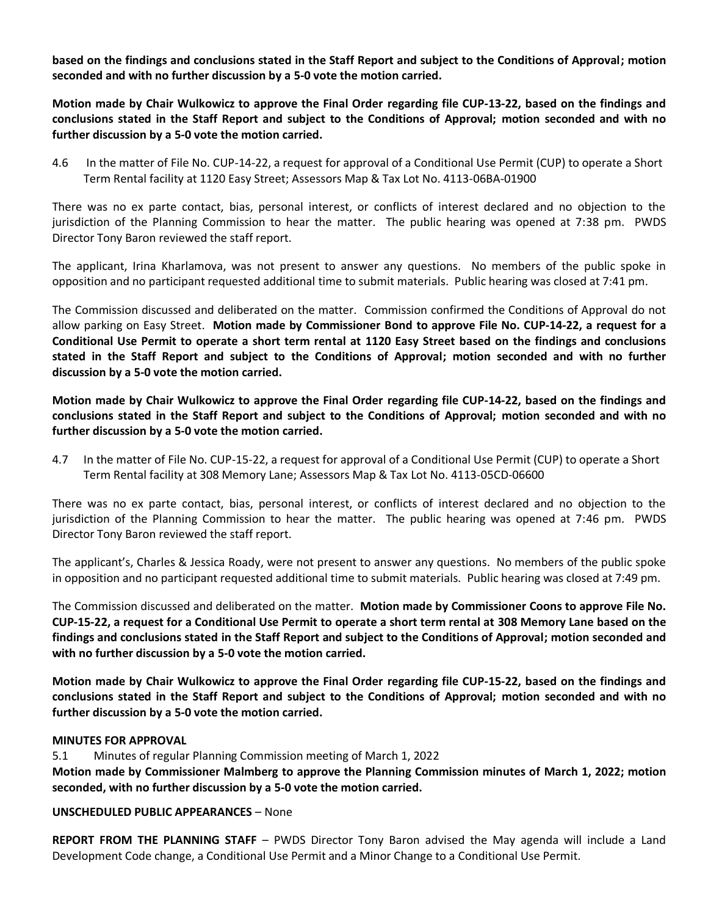**based on the findings and conclusions stated in the Staff Report and subject to the Conditions of Approval; motion seconded and with no further discussion by a 5-0 vote the motion carried.**

**Motion made by Chair Wulkowicz to approve the Final Order regarding file CUP-13-22, based on the findings and conclusions stated in the Staff Report and subject to the Conditions of Approval; motion seconded and with no further discussion by a 5-0 vote the motion carried.**

4.6 In the matter of File No. CUP-14-22, a request for approval of a Conditional Use Permit (CUP) to operate a Short Term Rental facility at 1120 Easy Street; Assessors Map & Tax Lot No. 4113-06BA-01900

There was no ex parte contact, bias, personal interest, or conflicts of interest declared and no objection to the jurisdiction of the Planning Commission to hear the matter. The public hearing was opened at 7:38 pm. PWDS Director Tony Baron reviewed the staff report.

The applicant, Irina Kharlamova, was not present to answer any questions. No members of the public spoke in opposition and no participant requested additional time to submit materials. Public hearing was closed at 7:41 pm.

The Commission discussed and deliberated on the matter. Commission confirmed the Conditions of Approval do not allow parking on Easy Street. **Motion made by Commissioner Bond to approve File No. CUP-14-22, a request for a Conditional Use Permit to operate a short term rental at 1120 Easy Street based on the findings and conclusions stated in the Staff Report and subject to the Conditions of Approval; motion seconded and with no further discussion by a 5-0 vote the motion carried.**

**Motion made by Chair Wulkowicz to approve the Final Order regarding file CUP-14-22, based on the findings and conclusions stated in the Staff Report and subject to the Conditions of Approval; motion seconded and with no further discussion by a 5-0 vote the motion carried.**

4.7 In the matter of File No. CUP-15-22, a request for approval of a Conditional Use Permit (CUP) to operate a Short Term Rental facility at 308 Memory Lane; Assessors Map & Tax Lot No. 4113-05CD-06600

There was no ex parte contact, bias, personal interest, or conflicts of interest declared and no objection to the jurisdiction of the Planning Commission to hear the matter. The public hearing was opened at 7:46 pm. PWDS Director Tony Baron reviewed the staff report.

The applicant's, Charles & Jessica Roady, were not present to answer any questions. No members of the public spoke in opposition and no participant requested additional time to submit materials. Public hearing was closed at 7:49 pm.

The Commission discussed and deliberated on the matter. **Motion made by Commissioner Coons to approve File No. CUP-15-22, a request for a Conditional Use Permit to operate a short term rental at 308 Memory Lane based on the findings and conclusions stated in the Staff Report and subject to the Conditions of Approval; motion seconded and with no further discussion by a 5-0 vote the motion carried.**

**Motion made by Chair Wulkowicz to approve the Final Order regarding file CUP-15-22, based on the findings and conclusions stated in the Staff Report and subject to the Conditions of Approval; motion seconded and with no further discussion by a 5-0 vote the motion carried.**

## **MINUTES FOR APPROVAL**

5.1 Minutes of regular Planning Commission meeting of March 1, 2022

**Motion made by Commissioner Malmberg to approve the Planning Commission minutes of March 1, 2022; motion seconded, with no further discussion by a 5-0 vote the motion carried.**

## **UNSCHEDULED PUBLIC APPEARANCES** – None

**REPORT FROM THE PLANNING STAFF** – PWDS Director Tony Baron advised the May agenda will include a Land Development Code change, a Conditional Use Permit and a Minor Change to a Conditional Use Permit.